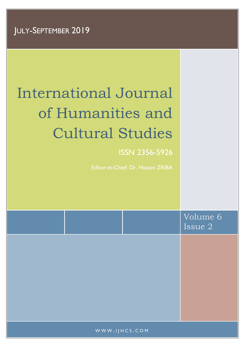# International Journal of Humanities and Cultural Studies

# ISSN 2356-5926

Editor-in-Chief: Dr. Hassen ZRIBA

|               | Volume 6<br>Issue 2 |
|---------------|---------------------|
|               |                     |
|               |                     |
|               |                     |
| WWW.IJHCS.COM |                     |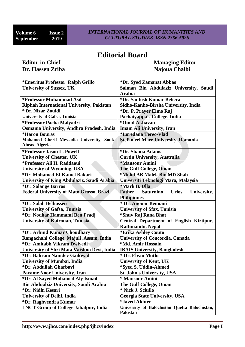## **Editorial Board**

# **Dr. Hassen Zriba Najoua Chalbi Najoua Chalbi Najoua Chalbi**

**Editor-in-Chief Managing Editor** 

| *Emeritus Professor Ralph Grillo                 | *Dr. Syed Zamanat Abbas                                   |  |
|--------------------------------------------------|-----------------------------------------------------------|--|
| <b>University of Sussex, UK</b>                  | Salman Bin Abdulaziz University, Saudi                    |  |
|                                                  | <b>Arabia</b>                                             |  |
| *Professor Muhammad Asif                         | *Dr. Santosh Kumar Behera                                 |  |
| Riphah International University, Pakistan        | Sidho-Kanho-Birsha University, India                      |  |
| * Dr. Nizar Zouidi                               | *Dr. P. Prayer Elmo Raj                                   |  |
| <b>University of Gafsa, Tunisia</b>              | Pachaiyappa's College, India                              |  |
| *Professor Pacha Malyadri                        | *Omid Akhavan                                             |  |
| Osmania University, Andhra Pradesh, India        | <b>Imam Ali University, Iran</b>                          |  |
| <i><b>*Haron Bouras</b></i>                      | *Loredana Terec-Vlad                                      |  |
| Mohamed Cherif Messadia University, Souk-        | Stefan cel Mare University, Romania                       |  |
| Ahras Algeria                                    |                                                           |  |
| *Professor Jason L. Powell                       | *Dr. Shama Adams                                          |  |
| <b>University of Chester, UK</b>                 | <b>Curtin University, Australia</b>                       |  |
| *Professor Ali H. Raddaoui                       | *Mansour Amini                                            |  |
| <b>University of Wyoming, USA</b>                | <b>The Gulf College, Oman</b>                             |  |
| *Dr. Mohamed El-Kamel Bakari                     | *Mohd AB Malek Bin MD Shah                                |  |
| University of King Abdulaziz, Saudi Arabia       | Universiti Teknologi Mara, Malaysia                       |  |
| *Dr. Solange Barros                              | *Mark B. Ulla                                             |  |
| <b>Federal University of Mato Grosso, Brazil</b> | <b>Saturnino</b><br><b>Urios</b><br>University,<br>Father |  |
|                                                  | <b>Philipinnes</b>                                        |  |
| *Dr. Salah Belhassen                             | * Dr. Anouar Bennani                                      |  |
| <b>University of Gafsa, Tunisia</b>              | <b>University of Sfax, Tunisia</b>                        |  |
| *Dr. Nodhar Hammami Ben Fradj                    | *Shuv Raj Rana Bhat                                       |  |
| <b>University of Kairouan, Tunisia</b>           | Central Department of English Kirtipur,                   |  |
|                                                  | Kathmandu, Nepal                                          |  |
| *Dr. Arbind Kumar Choudhary                      | *Erika Ashley Couto                                       |  |
| Rangachahi College, Majuli , Assam, India        | <b>University of Concordia, Canada</b>                    |  |
| *Dr. Amitabh Vikram Dwivedi                      | *Md. Amir Hossain                                         |  |
| University of Shri Mata Vaishno Devi, India      | <b>IBAIS University, Bangladesh</b>                       |  |
| *Dr. Baliram Namdev Gaikwad                      | * Dr. Elvan Mutlu                                         |  |
| <b>University of Mumbai, India</b>               | <b>University of Kent, UK</b>                             |  |
| *Dr. Abdullah Gharbavi                           | *Syed S. Uddin-Ahmed                                      |  |
| Payame Noor University, Iran                     | <b>St. John's University, USA</b>                         |  |
| *Dr. Al Sayed Mohamed Aly Ismail                 | * Mansour Amini                                           |  |
| <b>Bin Abdualziz University, Saudi Arabia</b>    | The Gulf College, Oman                                    |  |
| *Dr. Nidhi Kesari                                | * Nick J. Sciullo                                         |  |
| <b>University of Delhi, India</b>                | <b>Georgia State University, USA</b>                      |  |
| *Dr. Raghvendra Kumar                            | <i><b>*Javed Akhter</b></i>                               |  |
| <b>LNCT Group of College Jabalpur, India</b>     | University of Balochistan Quetta Balochistan,             |  |
|                                                  | <b>Pakistan</b>                                           |  |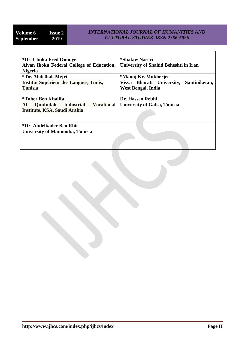#### *INTERNATIONAL JOURNAL OF HUMANITIES AND CULTURAL STUDIES ISSN 2356-5926*

| *Dr. Chuka Fred Ononye                                   | *Shataw Naseri                             |  |
|----------------------------------------------------------|--------------------------------------------|--|
| Alvan Ikoku Federal College of Education,                | University of Shahid Beheshti in Iran      |  |
| <b>Nigeria</b>                                           |                                            |  |
| * Dr. Abdelhak Mejri                                     | *Manoj Kr. Mukherjee                       |  |
| <b>Institut Supérieur des Langues, Tunis,</b>            | Visva Bharati University,<br>Santiniketan, |  |
| <b>Tunisia</b>                                           | West Bengal, India                         |  |
|                                                          |                                            |  |
| *Taher Ben Khalifa                                       | Dr. Hassen Rebhi                           |  |
| <b>Vocational</b><br>Qunfudah<br><b>Industrial</b><br>Al | <b>University of Gafsa, Tunisia</b>        |  |
| Institute, KSA, Saudi Arabia                             |                                            |  |
|                                                          |                                            |  |
|                                                          |                                            |  |
| *Dr. Abdelkader Ben Rhit                                 |                                            |  |
| University of Mannouba, Tunisia                          |                                            |  |
|                                                          |                                            |  |
|                                                          |                                            |  |
|                                                          |                                            |  |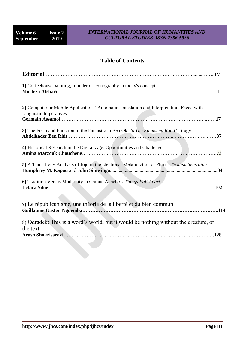### **Table of Contents**

| 1) Coffeehouse painting, founder of iconography in today's concept                                                  |  |
|---------------------------------------------------------------------------------------------------------------------|--|
| 2) Computer or Mobile Applications' Automatic Translation and Interpretation, Faced with<br>Linguistic Imperatives. |  |
| 3) The Form and Function of the Fantastic in Ben Okri's The Famished Road Trilogy                                   |  |
| 4) Historical Research in the Digital Age: Opportunities and Challenges<br>.73                                      |  |
| 5) A Transitivity Analysis of Jojo in the Ideational Metafunction of Phiri's Ticklish Sensation                     |  |
| 6) Tradition Versus Modernity in Chinua Achebe's Things Fall Apart<br>.102                                          |  |
| 7) Le républicanisme, une théorie de la liberté et du bien commun                                                   |  |
| 8) Odradek: This is a word's world, but it would be nothing without the creature, or<br>the text<br>.128            |  |
|                                                                                                                     |  |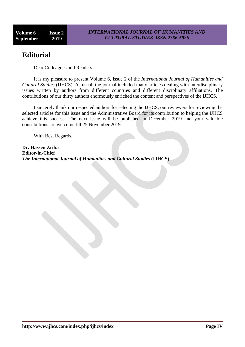# **Editorial**

Dear Colleagues and Readers

It is my pleasure to present Volume 6, Issue 2 of the *International Journal of Humanities and Cultural Studies* (IJHCS). As usual, the journal included many articles dealing with interdisciplinary issues written by authors from different countries and different disciplinary affiliations. The contributions of our thirty authors enormously enriched the content and perspectives of the IJHCS.

I sincerely thank our respected authors for selecting the IJHCS, our reviewers for reviewing the selected articles for this issue and the Administrative Board for its contribution to helping the IJHCS achieve this success. The next issue will be published in December 2019 and your valuable contributions are welcome till 25 November 2019.

With Best Regards,

**Dr. Hassen Zriba Editor-in-Chief** *The International Journal of Humanities and Cultural Studies* **(IJHCS)**